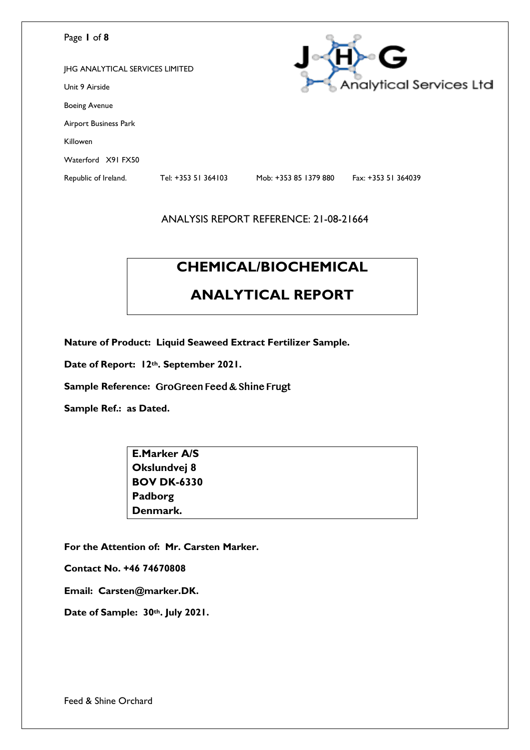| Page 1 of 8                            |                     |                       | G                       |
|----------------------------------------|---------------------|-----------------------|-------------------------|
| <b>JHG ANALYTICAL SERVICES LIMITED</b> |                     |                       |                         |
| Unit 9 Airside                         |                     |                       | Analytical Services Ltd |
| <b>Boeing Avenue</b>                   |                     |                       |                         |
| Airport Business Park                  |                     |                       |                         |
| Killowen                               |                     |                       |                         |
| Waterford X91 FX50                     |                     |                       |                         |
| Republic of Ireland.                   | Tel: +353 51 364103 | Mob: +353 85 1379 880 | Fax: +353 51 364039     |
|                                        |                     |                       |                         |

# **CHEMICAL/BIOCHEMICAL**

# **ANALYTICAL REPORT**

**Nature of Product: Liquid Seaweed Extract Fertilizer Sample.** 

**Date of Report: 12th. September 2021.** 

**Sample Reference:** GroGreen Feed & Shine Frugt

**Sample Ref.: as Dated.** 

| <b>E.Marker A/S</b> |  |
|---------------------|--|
| Okslundvej 8        |  |
| <b>BOV DK-6330</b>  |  |
| Padborg             |  |
| Denmark.            |  |

**For the Attention of: Mr. Carsten Marker.**

**Contact No. +46 74670808**

**Email: Carsten@marker.DK.**

**Date of Sample: 30th. July 2021.**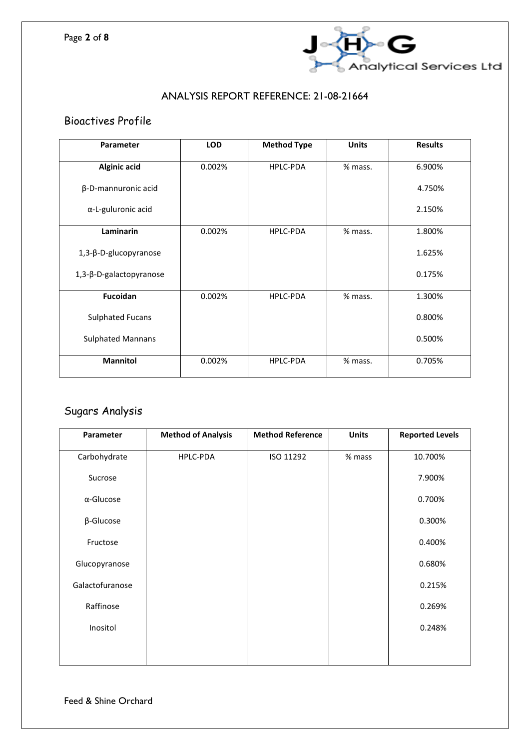

## Bioactives Profile

| <b>Parameter</b>         | <b>LOD</b> | <b>Method Type</b> | <b>Units</b> | <b>Results</b> |
|--------------------------|------------|--------------------|--------------|----------------|
| <b>Alginic acid</b>      | 0.002%     | HPLC-PDA           | % mass.      | 6.900%         |
| β-D-mannuronic acid      |            |                    |              | 4.750%         |
| α-L-guluronic acid       |            |                    |              | 2.150%         |
| Laminarin                | 0.002%     | <b>HPLC-PDA</b>    | % mass.      | 1.800%         |
| 1,3-β-D-glucopyranose    |            |                    |              | 1.625%         |
| 1,3-β-D-galactopyranose  |            |                    |              | 0.175%         |
| Fucoidan                 | 0.002%     | <b>HPLC-PDA</b>    | % mass.      | 1.300%         |
| <b>Sulphated Fucans</b>  |            |                    |              | 0.800%         |
| <b>Sulphated Mannans</b> |            |                    |              | 0.500%         |
| <b>Mannitol</b>          | 0.002%     | <b>HPLC-PDA</b>    | % mass.      | 0.705%         |

# Sugars Analysis

| Parameter         | <b>Method of Analysis</b> | <b>Method Reference</b> | <b>Units</b> | <b>Reported Levels</b> |
|-------------------|---------------------------|-------------------------|--------------|------------------------|
| Carbohydrate      | HPLC-PDA                  | ISO 11292               | % mass       | 10.700%                |
| Sucrose           |                           |                         |              | 7.900%                 |
| $\alpha$ -Glucose |                           |                         |              | 0.700%                 |
| $\beta$ -Glucose  |                           |                         |              | 0.300%                 |
| Fructose          |                           |                         |              | 0.400%                 |
| Glucopyranose     |                           |                         |              | 0.680%                 |
| Galactofuranose   |                           |                         |              | 0.215%                 |
| Raffinose         |                           |                         |              | 0.269%                 |
| Inositol          |                           |                         |              | 0.248%                 |
|                   |                           |                         |              |                        |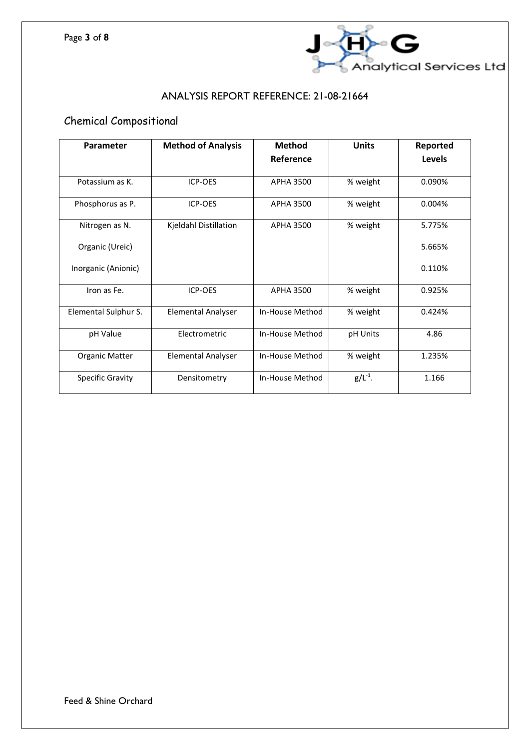

# Chemical Compositional

| Parameter               | <b>Method of Analysis</b> | <b>Method</b>    | <b>Units</b> | Reported      |
|-------------------------|---------------------------|------------------|--------------|---------------|
|                         |                           | Reference        |              | <b>Levels</b> |
| Potassium as K.         | ICP-OES                   | <b>APHA 3500</b> | % weight     | 0.090%        |
| Phosphorus as P.        | ICP-OES                   | APHA 3500        | % weight     | 0.004%        |
| Nitrogen as N.          | Kjeldahl Distillation     | <b>APHA 3500</b> | % weight     | 5.775%        |
| Organic (Ureic)         |                           |                  |              | 5.665%        |
| Inorganic (Anionic)     |                           |                  |              | 0.110%        |
| Iron as Fe.             | ICP-OES                   | <b>APHA 3500</b> | % weight     | 0.925%        |
| Elemental Sulphur S.    | <b>Elemental Analyser</b> | In-House Method  | % weight     | 0.424%        |
| pH Value                | Electrometric             | In-House Method  | pH Units     | 4.86          |
| <b>Organic Matter</b>   | <b>Elemental Analyser</b> | In-House Method  | % weight     | 1.235%        |
| <b>Specific Gravity</b> | Densitometry              | In-House Method  | $g/L^{-1}$ . | 1.166         |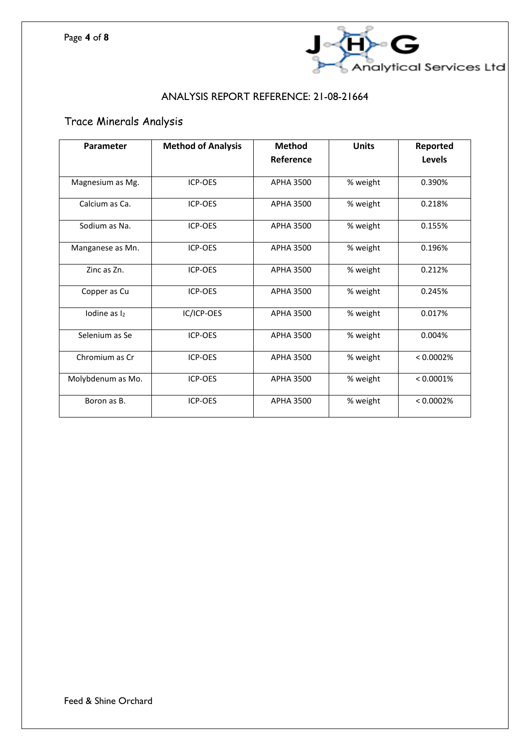

# Trace Minerals Analysis

| Parameter              | <b>Method of Analysis</b> | <b>Method</b>    | <b>Units</b> | Reported  |
|------------------------|---------------------------|------------------|--------------|-----------|
|                        |                           | Reference        |              | Levels    |
| Magnesium as Mg.       | ICP-OES                   | <b>APHA 3500</b> | % weight     | 0.390%    |
| Calcium as Ca.         | <b>ICP-OES</b>            | APHA 3500        | % weight     | 0.218%    |
| Sodium as Na.          | <b>ICP-OES</b>            | APHA 3500        | % weight     | 0.155%    |
| Manganese as Mn.       | ICP-OES                   | APHA 3500        | % weight     | 0.196%    |
| Zinc as Zn.            | ICP-OES                   | <b>APHA 3500</b> | % weight     | 0.212%    |
| Copper as Cu           | ICP-OES                   | <b>APHA 3500</b> | % weight     | 0.245%    |
| lodine as <sub>l</sub> | IC/ICP-OES                | <b>APHA 3500</b> | % weight     | 0.017%    |
| Selenium as Se         | ICP-OES                   | <b>APHA 3500</b> | % weight     | 0.004%    |
| Chromium as Cr         | ICP-OES                   | <b>APHA 3500</b> | % weight     | < 0.0002% |
| Molybdenum as Mo.      | ICP-OES                   | <b>APHA 3500</b> | % weight     | < 0.0001% |
| Boron as B.            | ICP-OES                   | <b>APHA 3500</b> | % weight     | < 0.0002% |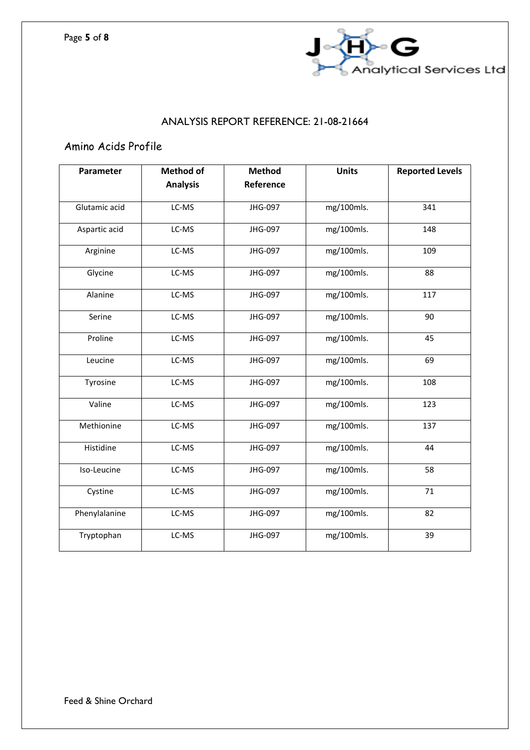

# Amino Acids Profile

| Parameter     | <b>Method of</b> | <b>Method</b> | <b>Units</b> | <b>Reported Levels</b> |
|---------------|------------------|---------------|--------------|------------------------|
|               | <b>Analysis</b>  | Reference     |              |                        |
| Glutamic acid | LC-MS            | JHG-097       | mg/100mls.   | 341                    |
| Aspartic acid | LC-MS            | JHG-097       | mg/100mls.   | 148                    |
| Arginine      | LC-MS            | JHG-097       | mg/100mls.   | 109                    |
| Glycine       | LC-MS            | JHG-097       | mg/100mls.   | 88                     |
| Alanine       | LC-MS            | JHG-097       | mg/100mls.   | 117                    |
| Serine        | LC-MS            | JHG-097       | mg/100mls.   | 90                     |
| Proline       | LC-MS            | JHG-097       | mg/100mls.   | 45                     |
| Leucine       | LC-MS            | JHG-097       | mg/100mls.   | 69                     |
| Tyrosine      | LC-MS            | JHG-097       | mg/100mls.   | 108                    |
| Valine        | LC-MS            | JHG-097       | mg/100mls.   | 123                    |
| Methionine    | LC-MS            | JHG-097       | mg/100mls.   | 137                    |
| Histidine     | LC-MS            | JHG-097       | mg/100mls.   | 44                     |
| Iso-Leucine   | LC-MS            | JHG-097       | mg/100mls.   | 58                     |
| Cystine       | LC-MS            | JHG-097       | mg/100mls.   | 71                     |
| Phenylalanine | LC-MS            | JHG-097       | mg/100mls.   | 82                     |
| Tryptophan    | LC-MS            | JHG-097       | mg/100mls.   | 39                     |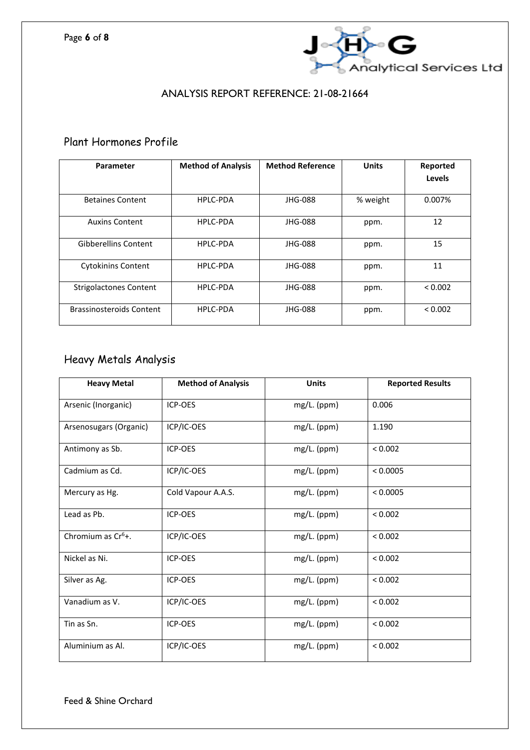

### Plant Hormones Profile

| Parameter                       | <b>Method of Analysis</b> | <b>Method Reference</b> | <b>Units</b> | Reported<br>Levels |
|---------------------------------|---------------------------|-------------------------|--------------|--------------------|
| <b>Betaines Content</b>         | HPLC-PDA                  | JHG-088                 | % weight     | 0.007%             |
| <b>Auxins Content</b>           | HPLC-PDA                  | JHG-088                 | ppm.         | 12                 |
| <b>Gibberellins Content</b>     | <b>HPLC-PDA</b>           | JHG-088                 | ppm.         | 15                 |
| <b>Cytokinins Content</b>       | HPLC-PDA                  | JHG-088                 | ppm.         | 11                 |
| <b>Strigolactones Content</b>   | HPLC-PDA                  | JHG-088                 | ppm.         | < 0.002            |
| <b>Brassinosteroids Content</b> | <b>HPLC-PDA</b>           | JHG-088                 | ppm.         | < 0.002            |

# Heavy Metals Analysis

| <b>Heavy Metal</b>     | <b>Method of Analysis</b> | <b>Units</b>  | <b>Reported Results</b> |
|------------------------|---------------------------|---------------|-------------------------|
| Arsenic (Inorganic)    | <b>ICP-OES</b>            | mg/L. (ppm)   | 0.006                   |
| Arsenosugars (Organic) | ICP/IC-OES                | mg/L. (ppm)   | 1.190                   |
| Antimony as Sb.        | ICP-OES                   | mg/L. (ppm)   | < 0.002                 |
| Cadmium as Cd.         | ICP/IC-OES                | mg/L. (ppm)   | < 0.0005                |
| Mercury as Hg.         | Cold Vapour A.A.S.        | mg/L. (ppm)   | < 0.0005                |
| Lead as Pb.            | ICP-OES                   | mg/L. (ppm)   | < 0.002                 |
| Chromium as $Cr6$ +.   | ICP/IC-OES                | $mg/L.$ (ppm) | < 0.002                 |
| Nickel as Ni.          | ICP-OES                   | mg/L. (ppm)   | < 0.002                 |
| Silver as Ag.          | <b>ICP-OES</b>            | mg/L. (ppm)   | < 0.002                 |
| Vanadium as V.         | ICP/IC-OES                | mg/L. (ppm)   | < 0.002                 |
| Tin as Sn.             | ICP-OES                   | $mg/L.$ (ppm) | < 0.002                 |
| Aluminium as Al.       | ICP/IC-OES                | mg/L. (ppm)   | < 0.002                 |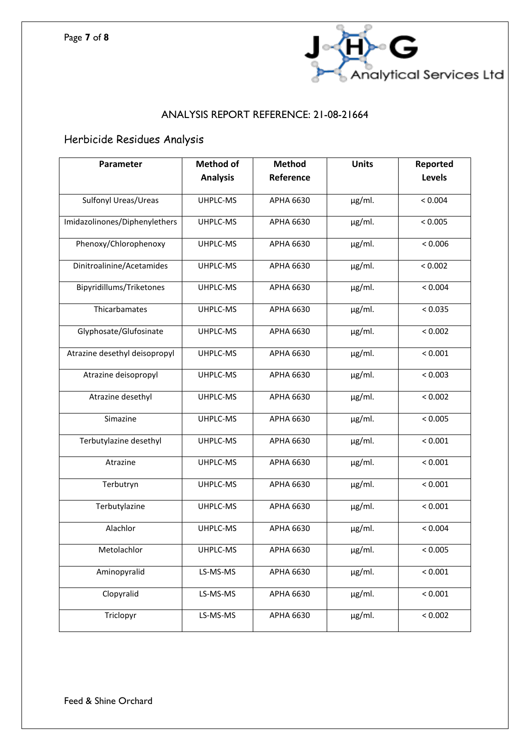

# Herbicide Residues Analysis

| Parameter                     | <b>Method of</b> | <b>Method</b>    | <b>Units</b> | Reported      |
|-------------------------------|------------------|------------------|--------------|---------------|
|                               | <b>Analysis</b>  | Reference        |              | <b>Levels</b> |
| <b>Sulfonyl Ureas/Ureas</b>   | UHPLC-MS         | APHA 6630        | $\mu$ g/ml.  | < 0.004       |
| Imidazolinones/Diphenylethers | UHPLC-MS         | APHA 6630        | $\mu$ g/ml.  | < 0.005       |
| Phenoxy/Chlorophenoxy         | UHPLC-MS         | APHA 6630        | µg/ml.       | < 0.006       |
| Dinitroalinine/Acetamides     | UHPLC-MS         | APHA 6630        | $\mu$ g/ml.  | < 0.002       |
| Bipyridillums/Triketones      | UHPLC-MS         | APHA 6630        | $\mu$ g/ml.  | < 0.004       |
| Thicarbamates                 | UHPLC-MS         | APHA 6630        | $\mu$ g/ml.  | < 0.035       |
| Glyphosate/Glufosinate        | UHPLC-MS         | APHA 6630        | $\mu$ g/ml.  | < 0.002       |
| Atrazine desethyl deisopropyl | UHPLC-MS         | APHA 6630        | µg/ml.       | < 0.001       |
| Atrazine deisopropyl          | UHPLC-MS         | APHA 6630        | $\mu$ g/ml.  | < 0.003       |
| Atrazine desethyl             | UHPLC-MS         | APHA 6630        | µg/ml.       | < 0.002       |
| Simazine                      | UHPLC-MS         | APHA 6630        | µg/ml.       | < 0.005       |
| Terbutylazine desethyl        | UHPLC-MS         | APHA 6630        | $\mu$ g/ml.  | < 0.001       |
| Atrazine                      | UHPLC-MS         | APHA 6630        | $\mu$ g/ml.  | < 0.001       |
| Terbutryn                     | UHPLC-MS         | APHA 6630        | µg/ml.       | < 0.001       |
| Terbutylazine                 | UHPLC-MS         | APHA 6630        | $\mu$ g/ml.  | < 0.001       |
| Alachlor                      | UHPLC-MS         | APHA 6630        | $\mu$ g/ml.  | < 0.004       |
| Metolachlor                   | UHPLC-MS         | APHA 6630        | $\mu$ g/ml.  | < 0.005       |
| Aminopyralid                  | LS-MS-MS         | <b>APHA 6630</b> | $\mu$ g/ml.  | < 0.001       |
| Clopyralid                    | LS-MS-MS         | APHA 6630        | µg/ml.       | < 0.001       |
| Triclopyr                     | LS-MS-MS         | APHA 6630        | $\mu$ g/ml.  | < 0.002       |